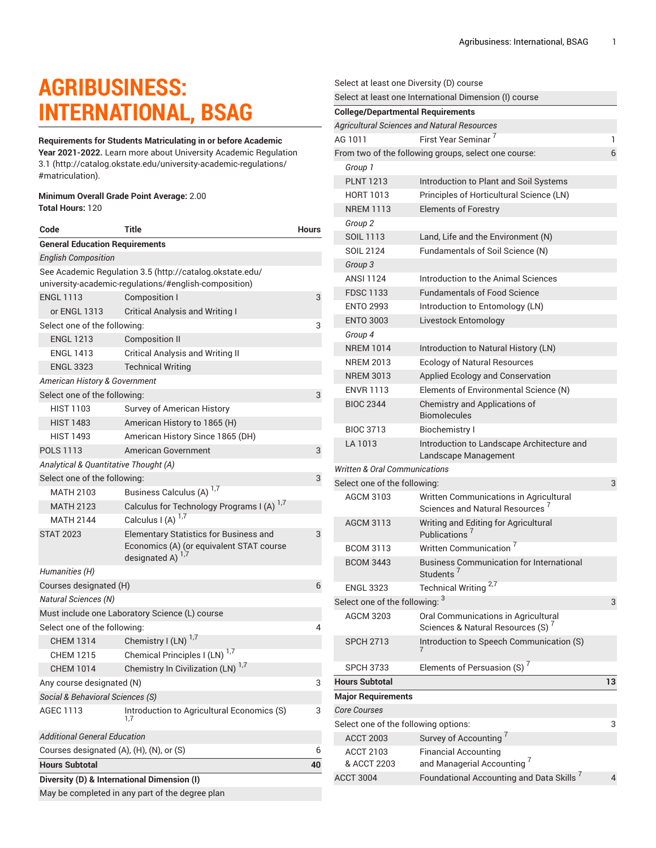# **AGRIBUSINESS: INTERNATIONAL, BSAG**

#### **Requirements for Students Matriculating in or before Academic**

**Year 2021-2022.** Learn more about University Academic [Regulation](http://catalog.okstate.edu/university-academic-regulations/#matriculation) [3.1](http://catalog.okstate.edu/university-academic-regulations/#matriculation) ([http://catalog.okstate.edu/university-academic-regulations/](http://catalog.okstate.edu/university-academic-regulations/#matriculation) [#matriculation\)](http://catalog.okstate.edu/university-academic-regulations/#matriculation).

#### **Minimum Overall Grade Point Average:** 2.00 **Total Hours:** 120

| Code                                                                                                              | Title                                                                                                            | <b>Hours</b> |  |  |  |
|-------------------------------------------------------------------------------------------------------------------|------------------------------------------------------------------------------------------------------------------|--------------|--|--|--|
| <b>General Education Requirements</b>                                                                             |                                                                                                                  |              |  |  |  |
| <b>English Composition</b>                                                                                        |                                                                                                                  |              |  |  |  |
| See Academic Regulation 3.5 (http://catalog.okstate.edu/<br>university-academic-regulations/#english-composition) |                                                                                                                  |              |  |  |  |
| <b>ENGL 1113</b>                                                                                                  | Composition I                                                                                                    | 3            |  |  |  |
| or ENGL 1313                                                                                                      | <b>Critical Analysis and Writing I</b>                                                                           |              |  |  |  |
| Select one of the following:                                                                                      |                                                                                                                  |              |  |  |  |
| <b>ENGL 1213</b>                                                                                                  | Composition II                                                                                                   |              |  |  |  |
| <b>ENGL 1413</b>                                                                                                  | <b>Critical Analysis and Writing II</b>                                                                          |              |  |  |  |
| <b>ENGL 3323</b>                                                                                                  | <b>Technical Writing</b>                                                                                         |              |  |  |  |
| American History & Government                                                                                     |                                                                                                                  |              |  |  |  |
|                                                                                                                   | Select one of the following:<br>3                                                                                |              |  |  |  |
| <b>HIST 1103</b>                                                                                                  | Survey of American History                                                                                       |              |  |  |  |
| <b>HIST 1483</b>                                                                                                  | American History to 1865 (H)                                                                                     |              |  |  |  |
| <b>HIST 1493</b>                                                                                                  | American History Since 1865 (DH)                                                                                 |              |  |  |  |
| <b>POLS 1113</b>                                                                                                  | American Government                                                                                              | 3            |  |  |  |
| Analytical & Quantitative Thought (A)                                                                             |                                                                                                                  |              |  |  |  |
| Select one of the following:                                                                                      |                                                                                                                  | 3            |  |  |  |
| <b>MATH 2103</b>                                                                                                  | Business Calculus (A) <sup>1,7</sup>                                                                             |              |  |  |  |
| <b>MATH 2123</b>                                                                                                  | 1,7<br>Calculus for Technology Programs I (A)                                                                    |              |  |  |  |
| <b>MATH 2144</b>                                                                                                  | Calculus I (A)                                                                                                   |              |  |  |  |
| <b>STAT 2023</b>                                                                                                  | <b>Elementary Statistics for Business and</b><br>Economics (A) (or equivalent STAT course<br>designated A) $1,7$ | 3            |  |  |  |
| Humanities (H)                                                                                                    |                                                                                                                  |              |  |  |  |
| Courses designated (H)<br>6                                                                                       |                                                                                                                  |              |  |  |  |
| <b>Natural Sciences (N)</b>                                                                                       |                                                                                                                  |              |  |  |  |
|                                                                                                                   | Must include one Laboratory Science (L) course                                                                   |              |  |  |  |
| Select one of the following:                                                                                      |                                                                                                                  | 4            |  |  |  |
| <b>CHEM 1314</b>                                                                                                  | Chemistry I (LN) $^{1,7}$                                                                                        |              |  |  |  |
| <b>CHEM 1215</b>                                                                                                  | Chemical Principles I (LN) <sup>1,7</sup>                                                                        |              |  |  |  |
| <b>CHEM 1014</b>                                                                                                  | Chemistry In Civilization (LN) <sup>1,7</sup>                                                                    |              |  |  |  |
| Any course designated (N)                                                                                         |                                                                                                                  | 3            |  |  |  |
| Social & Behavioral Sciences (S)                                                                                  |                                                                                                                  |              |  |  |  |
| AGEC 1113                                                                                                         | Introduction to Agricultural Economics (S)<br>1.7                                                                | 3            |  |  |  |
| Additional General Education                                                                                      |                                                                                                                  |              |  |  |  |
| Courses designated (A), (H), (N), or (S)                                                                          |                                                                                                                  |              |  |  |  |
| <b>Hours Subtotal</b>                                                                                             |                                                                                                                  |              |  |  |  |
| Diversity (D) & International Dimension (I)                                                                       |                                                                                                                  |              |  |  |  |
| May be completed in any part of the degree plan                                                                   |                                                                                                                  |              |  |  |  |

|         |                                          | Select at least one Diversity (D) course                                             |    |
|---------|------------------------------------------|--------------------------------------------------------------------------------------|----|
|         |                                          | Select at least one International Dimension (I) course                               |    |
|         | <b>College/Departmental Requirements</b> |                                                                                      |    |
|         |                                          | <b>Agricultural Sciences and Natural Resources</b>                                   |    |
| AG 1011 |                                          | First Year Seminar <sup>7</sup>                                                      | 1  |
|         |                                          | From two of the following groups, select one course:                                 | 6  |
|         | Group 1                                  |                                                                                      |    |
|         | <b>PLNT 1213</b>                         | Introduction to Plant and Soil Systems                                               |    |
|         | <b>HORT 1013</b>                         | Principles of Horticultural Science (LN)                                             |    |
|         | <b>NREM 1113</b>                         | <b>Elements of Forestry</b>                                                          |    |
|         | Group 2                                  |                                                                                      |    |
|         | SOIL 1113                                | Land, Life and the Environment (N)                                                   |    |
|         | SOIL 2124                                | Fundamentals of Soil Science (N)                                                     |    |
|         | Group 3                                  |                                                                                      |    |
|         | <b>ANSI 1124</b>                         | Introduction to the Animal Sciences                                                  |    |
|         | <b>FDSC 1133</b>                         | <b>Fundamentals of Food Science</b>                                                  |    |
|         | <b>ENTO 2993</b>                         | Introduction to Entomology (LN)                                                      |    |
|         | <b>ENTO 3003</b>                         | Livestock Entomology                                                                 |    |
|         | Group 4                                  |                                                                                      |    |
|         | <b>NREM 1014</b>                         | Introduction to Natural History (LN)                                                 |    |
|         | <b>NREM 2013</b>                         | <b>Ecology of Natural Resources</b>                                                  |    |
|         | <b>NREM 3013</b>                         | Applied Ecology and Conservation                                                     |    |
|         | <b>ENVR 1113</b>                         | Elements of Environmental Science (N)                                                |    |
|         | <b>BIOC 2344</b>                         | Chemistry and Applications of<br><b>Biomolecules</b>                                 |    |
|         | <b>BIOC 3713</b>                         | Biochemistry I                                                                       |    |
|         | LA 1013                                  | Introduction to Landscape Architecture and<br>Landscape Management                   |    |
|         | <b>Written &amp; Oral Communications</b> |                                                                                      |    |
|         | Select one of the following:             |                                                                                      | 3  |
|         | AGCM 3103                                | Written Communications in Agricultural<br>Sciences and Natural Resources '           |    |
|         | <b>AGCM 3113</b>                         | Writing and Editing for Agricultural<br>Publications <sup>7</sup>                    |    |
|         | <b>BCOM 3113</b>                         | Written Communication <sup>7</sup>                                                   |    |
|         | <b>BCOM 3443</b>                         | <b>Business Communication for International</b><br>Students <sup>7</sup>             |    |
|         | <b>ENGL 3323</b>                         | Technical Writing <sup>2,7</sup>                                                     |    |
|         | Select one of the following: 3           |                                                                                      | 3  |
|         | <b>AGCM 3203</b>                         | Oral Communications in Agricultural<br>Sciences & Natural Resources (S) <sup>7</sup> |    |
|         | <b>SPCH 2713</b>                         | Introduction to Speech Communication (S)                                             |    |
|         | <b>SPCH 3733</b>                         | Elements of Persuasion (S) <sup>7</sup>                                              |    |
|         | <b>Hours Subtotal</b>                    |                                                                                      | 13 |
|         | <b>Major Requirements</b>                |                                                                                      |    |
|         | <b>Core Courses</b>                      |                                                                                      |    |
|         | Select one of the following options:     |                                                                                      | 3  |
|         | <b>ACCT 2003</b>                         | Survey of Accounting <sup>7</sup>                                                    |    |
|         | <b>ACCT 2103</b>                         | <b>Financial Accounting</b>                                                          |    |
|         | & ACCT 2203                              | and Managerial Accounting <sup>7</sup>                                               |    |
|         | <b>ACCT 3004</b>                         | Foundational Accounting and Data Skills <sup>7</sup>                                 | 4  |